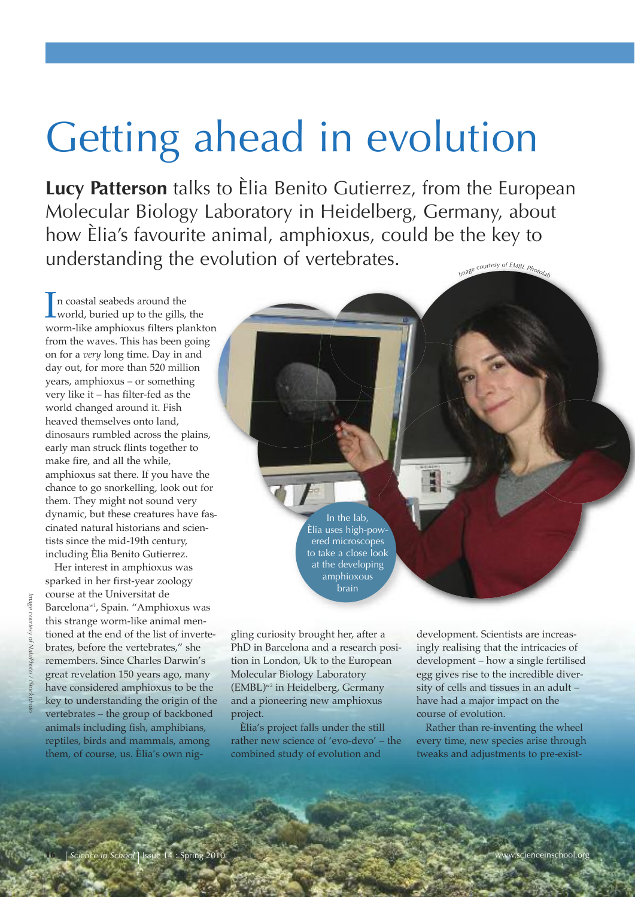# Getting ahead in evolution

**Lucy Patterson** talks to Èlia Benito Gutierrez, from the European Molecular Biology Laboratory in Heidelberg, Germany, about how Èlia's favourite animal, amphioxus, could be the key to understanding the evolution of vertebrates. *<sup>I</sup>mag<sup>e</sup> <sup>c</sup>ourte<sup>s</sup><sup>y</sup> <sup>o</sup><sup>f</sup> <sup>E</sup>MB<sup>L</sup> <sup>P</sup>hotola<sup>b</sup>*

In coastal seabeds around the<br>world, buried up to the gills, world, buried up to the gills, the worm-like amphioxus filters plankton from the waves. This has been going on for a *very* long time. Day in and day out, for more than 520 million years, amphioxus – or something very like it – has filter-fed as the world changed around it. Fish heaved themselves onto land, dinosaurs rumbled across the plains, early man struck flints together to make fire, and all the while, amphioxus sat there. If you have the chance to go snorkelling, look out for them. They might not sound very dynamic, but these creatures have fascinated natural historians and scientists since the mid-19th century, including Èlia Benito Gutierrez.

Her interest in amphioxus was sparked in her first-year zoology course at the Universitat de Barcelona<sup>w1</sup>, Spain. "Amphioxus was this strange worm-like animal mentioned at the end of the list of invertebrates, before the vertebrates," she remembers. Since Charles Darwin's great revelation 150 years ago, many have considered amphioxus to be the key to understanding the origin of the vertebrates – the group of backboned animals including fish, amphibians, reptiles, birds and mammals, among them, of course, us. Èlia's own nig-

*Image*

*courtesy of*

*NaluPhoto / iStockphoto*

In the lab, Èlia uses high-powered microscopes to take a close look at the developing amphioxous brain

gling curiosity brought her, after a PhD in Barcelona and a research position in London, Uk to the European Molecular Biology Laboratory (EMBL) w2 in Heidelberg, Germany and a pioneering new amphioxus project.

Èlia's project falls under the still rather new science of 'evo-devo' – the combined study of evolution and

development. Scientists are increasingly realising that the intricacies of development – how a single fertilised egg gives rise to the incredible diversity of cells and tissues in an adult – have had a major impact on the course of evolution.

Rather than re-inventing the wheel every time, new species arise through tweaks and adjustments to pre-exist-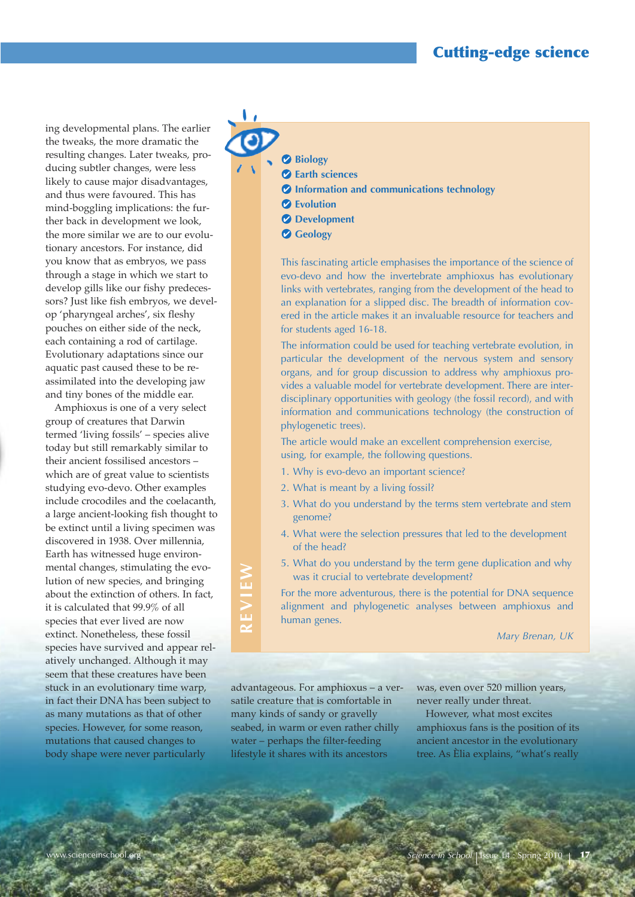ing developmental plans. The earlier the tweaks, the more dramatic the resulting changes. Later tweaks, producing subtler changes, were less likely to cause major disadvantages, and thus were favoured. This has mind-boggling implications: the further back in development we look, the more similar we are to our evolutionary ancestors. For instance, did you know that as embryos, we pass through a stage in which we start to develop gills like our fishy predecessors? Just like fish embryos, we develop 'pharyngeal arches', six fleshy pouches on either side of the neck, each containing a rod of cartilage. Evolutionary adaptations since our aquatic past caused these to be reassimilated into the developing jaw and tiny bones of the middle ear.

Amphioxus is one of a very select group of creatures that Darwin termed 'living fossils' – species alive today but still remarkably similar to their ancient fossilised ancestors – which are of great value to scientists studying evo-devo. Other examples include crocodiles and the coelacanth, a large ancient-looking fish thought to be extinct until a living specimen was discovered in 1938. Over millennia, Earth has witnessed huge environmental changes, stimulating the evolution of new species, and bringing about the extinction of others. In fact, it is calculated that 99.9% of all species that ever lived are now extinct. Nonetheless, these fossil species have survived and appear relatively unchanged. Although it may seem that these creatures have been stuck in an evolutionary time warp, in fact their DNA has been subject to as many mutations as that of other species. However, for some reason, mutations that caused changes to body shape were never particularly

**Earth sciences**

**Biology** 

- **Information and communications technology**
- **Evolution**
- *d* Development
- **Geology**

This fascinating article emphasises the importance of the science of evo-devo and how the invertebrate amphioxus has evolutionary links with vertebrates, ranging from the development of the head to an explanation for a slipped disc. The breadth of information covered in the article makes it an invaluable resource for teachers and for students aged 16-18.

The information could be used for teaching vertebrate evolution, in particular the development of the nervous system and sensory organs, and for group discussion to address why amphioxus provides a valuable model for vertebrate development. There are interdisciplinary opportunities with geology (the fossil record), and with information and communications technology (the construction of phylogenetic trees).

The article would make an excellent comprehension exercise, using, for example, the following questions.

- 1. Why is evo-devo an important science?
- 2. What is meant by a living fossil?
- 3. What do you understand by the terms stem vertebrate and stem genome?
- 4. What were the selection pressures that led to the development of the head?
- 5. What do you understand by the term gene duplication and why was it crucial to vertebrate development?

For the more adventurous, there is the potential for DNA sequence alignment and phylogenetic analyses between amphioxus and human genes.

*Mary Brenan, UK* 

advantageous. For amphioxus – a versatile creature that is comfortable in many kinds of sandy or gravelly seabed, in warm or even rather chilly water – perhaps the filter-feeding lifestyle it shares with its ancestors

**E**

**vIE**

**W**

was, even over 520 million years, never really under threat.

However, what most excites amphioxus fans is the position of its ancient ancestor in the evolutionary tree. As Èlia explains, "what's really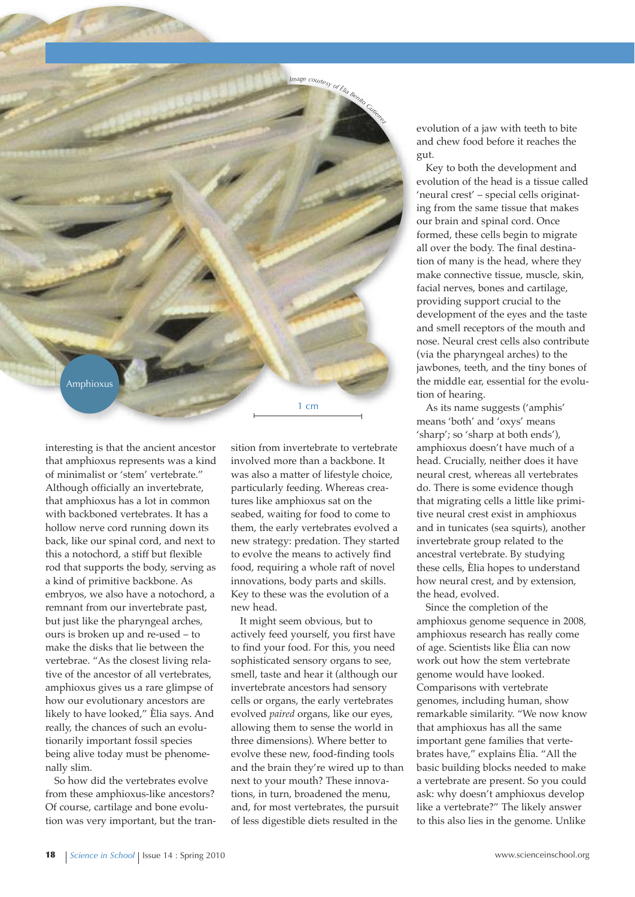

interesting is that the ancient ancestor that amphioxus represents was a kind of minimalist or 'stem' vertebrate." Although officially an invertebrate, that amphioxus has a lot in common with backboned vertebrates. It has a hollow nerve cord running down its back, like our spinal cord, and next to this a notochord, a stiff but flexible rod that supports the body, serving as a kind of primitive backbone. As embryos, we also have a notochord, a remnant from our invertebrate past, but just like the pharyngeal arches, ours is broken up and re-used – to make the disks that lie between the vertebrae. "As the closest living relative of the ancestor of all vertebrates, amphioxus gives us a rare glimpse of how our evolutionary ancestors are likely to have looked," Èlia says. And really, the chances of such an evolutionarily important fossil species being alive today must be phenomenally slim.

So how did the vertebrates evolve from these amphioxus-like ancestors? Of course, cartilage and bone evolution was very important, but the transition from invertebrate to vertebrate involved more than a backbone. It was also a matter of lifestyle choice, particularly feeding. Whereas creatures like amphioxus sat on the seabed, waiting for food to come to them, the early vertebrates evolved a new strategy: predation. They started to evolve the means to actively find food, requiring a whole raft of novel innovations, body parts and skills. Key to these was the evolution of a new head.

1 cm

Image courtesy of the Benito Cutters

It might seem obvious, but to actively feed yourself, you first have to find your food. For this, you need sophisticated sensory organs to see, smell, taste and hear it (although our invertebrate ancestors had sensory cells or organs, the early vertebrates evolved *paired* organs, like our eyes, allowing them to sense the world in three dimensions). Where better to evolve these new, food-finding tools and the brain they're wired up to than next to your mouth? These innovations, in turn, broadened the menu, and, for most vertebrates, the pursuit of less digestible diets resulted in the

evolution of a jaw with teeth to bite and chew food before it reaches the gut.

Key to both the development and evolution of the head is a tissue called 'neural crest' – special cells originating from the same tissue that makes our brain and spinal cord. Once formed, these cells begin to migrate all over the body. The final destination of many is the head, where they make connective tissue, muscle, skin, facial nerves, bones and cartilage, providing support crucial to the development of the eyes and the taste and smell receptors of the mouth and nose. Neural crest cells also contribute (via the pharyngeal arches) to the jawbones, teeth, and the tiny bones of the middle ear, essential for the evolution of hearing.

As its name suggests ('amphis' means 'both' and 'oxys' means 'sharp'; so 'sharp at both ends'), amphioxus doesn't have much of a head. Crucially, neither does it have neural crest, whereas all vertebrates do. There is some evidence though that migrating cells a little like primitive neural crest exist in amphioxus and in tunicates (sea squirts), another invertebrate group related to the ancestral vertebrate. By studying these cells, Èlia hopes to understand how neural crest, and by extension, the head, evolved.

Since the completion of the amphioxus genome sequence in 2008, amphioxus research has really come of age. Scientists like Èlia can now work out how the stem vertebrate genome would have looked. Comparisons with vertebrate genomes, including human, show remarkable similarity. "We now know that amphioxus has all the same important gene families that vertebrates have," explains Èlia. "All the basic building blocks needed to make a vertebrate are present. So you could ask: why doesn't amphioxus develop like a vertebrate?" The likely answer to this also lies in the genome. Unlike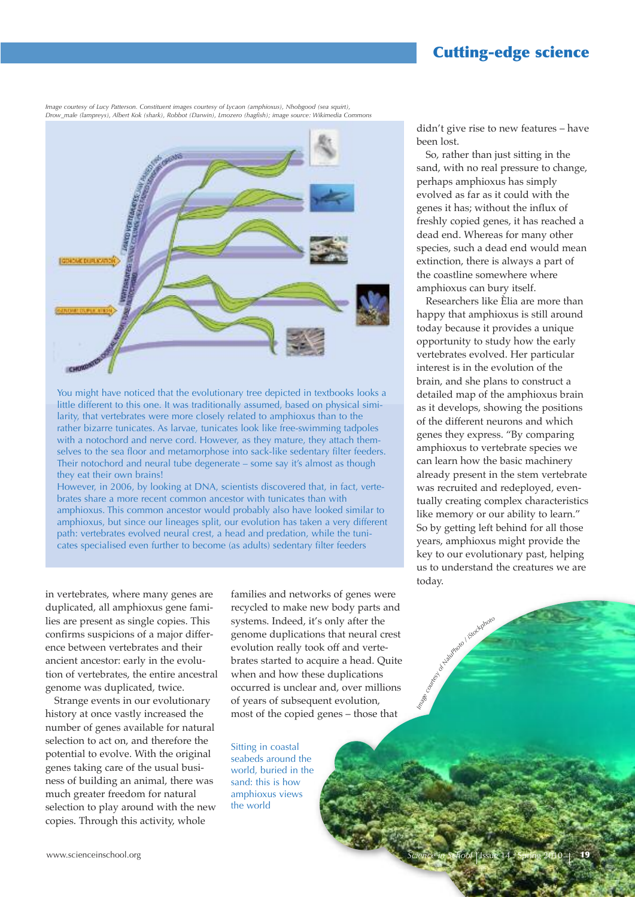# **Cutting-edge science**

*Image courtesy of Lucy Patterson. Constituent images courtesy of Lycaon (amphioxus), Nhobgood (sea squirt), Drow\_male (lampreys), Albert Kok (shark), Robbot (Darwin), Lmozero (hagfish); image source: Wikimedia Commons*



You might have noticed that the evolutionary tree depicted in textbooks looks a little different to this one. It was traditionally assumed, based on physical similarity, that vertebrates were more closely related to amphioxus than to the rather bizarre tunicates. As larvae, tunicates look like free-swimming tadpoles with a notochord and nerve cord. However, as they mature, they attach themselves to the sea floor and metamorphose into sack-like sedentary filter feeders. Their notochord and neural tube degenerate – some say it's almost as though they eat their own brains!

However, in 2006, by looking at DNA, scientists discovered that, in fact, vertebrates share a more recent common ancestor with tunicates than with amphioxus. This common ancestor would probably also have looked similar to amphioxus, but since our lineages split, our evolution has taken a very different path: vertebrates evolved neural crest, a head and predation, while the tunicates specialised even further to become (as adults) sedentary filter feeders

in vertebrates, where many genes are duplicated, all amphioxus gene families are present as single copies. This confirms suspicions of a major difference between vertebrates and their ancient ancestor: early in the evolution of vertebrates, the entire ancestral genome was duplicated, twice.

Strange events in our evolutionary history at once vastly increased the number of genes available for natural selection to act on, and therefore the potential to evolve. With the original genes taking care of the usual business of building an animal, there was much greater freedom for natural selection to play around with the new copies. Through this activity, whole

families and networks of genes were recycled to make new body parts and systems. Indeed, it's only after the genome duplications that neural crest evolution really took off and vertebrates started to acquire a head. Quite when and how these duplications occurred is unclear and, over millions of years of subsequent evolution, most of the copied genes – those that

Sitting in coastal seabeds around the world, buried in the sand: this is how amphioxus views the world

didn't give rise to new features – have been lost.

So, rather than just sitting in the sand, with no real pressure to change, perhaps amphioxus has simply evolved as far as it could with the genes it has; without the influx of freshly copied genes, it has reached a dead end. Whereas for many other species, such a dead end would mean extinction, there is always a part of the coastline somewhere where amphioxus can bury itself.

Researchers like Èlia are more than happy that amphioxus is still around today because it provides a unique opportunity to study how the early vertebrates evolved. Her particular interest is in the evolution of the brain, and she plans to construct a detailed map of the amphioxus brain as it develops, showing the positions of the different neurons and which genes they express. "By comparing amphioxus to vertebrate species we can learn how the basic machinery already present in the stem vertebrate was recruited and redeployed, eventually creating complex characteristics like memory or our ability to learn." So by getting left behind for all those years, amphioxus might provide the key to our evolutionary past, helping us to understand the creatures we are today.

of Halphael (Stackphoro